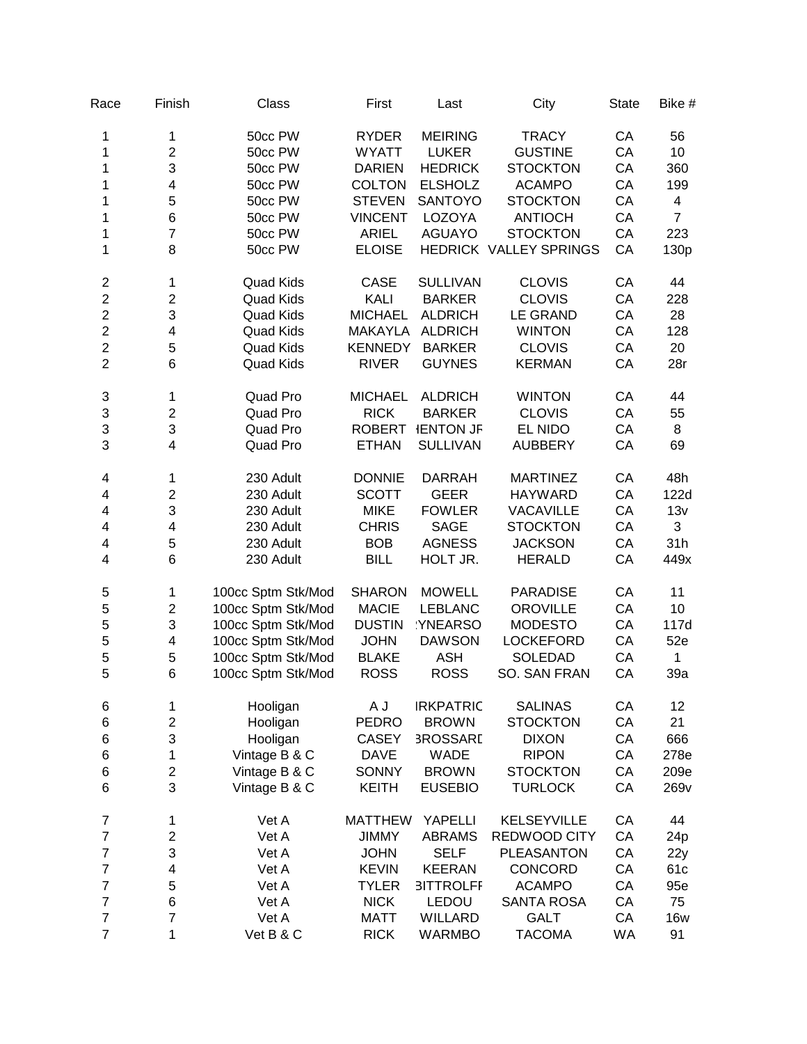| Race                     | Finish                  | Class              | First          | Last             | City                   | <b>State</b> | Bike #           |
|--------------------------|-------------------------|--------------------|----------------|------------------|------------------------|--------------|------------------|
| 1                        | 1                       | 50cc PW            | <b>RYDER</b>   | <b>MEIRING</b>   | <b>TRACY</b>           | CA           | 56               |
| 1                        | $\overline{c}$          | 50cc PW            | <b>WYATT</b>   | <b>LUKER</b>     | <b>GUSTINE</b>         | CA           | 10               |
| 1                        | 3                       | 50cc PW            | <b>DARIEN</b>  | <b>HEDRICK</b>   | <b>STOCKTON</b>        | CA           | 360              |
| 1                        | $\overline{\mathbf{4}}$ | 50cc PW            | <b>COLTON</b>  | <b>ELSHOLZ</b>   | <b>ACAMPO</b>          | CA           | 199              |
| 1                        | 5                       | 50cc PW            | <b>STEVEN</b>  | <b>SANTOYO</b>   | <b>STOCKTON</b>        | CA           | 4                |
| 1                        | 6                       | 50cc PW            | <b>VINCENT</b> | LOZOYA           | <b>ANTIOCH</b>         | CA           | $\overline{7}$   |
| 1                        | $\overline{7}$          | 50cc PW            | <b>ARIEL</b>   | <b>AGUAYO</b>    | <b>STOCKTON</b>        | CA           | 223              |
| 1                        | 8                       | 50cc PW            | <b>ELOISE</b>  |                  | HEDRICK VALLEY SPRINGS | CA           | 130p             |
| $\overline{\mathbf{c}}$  | 1                       | <b>Quad Kids</b>   | CASE           | <b>SULLIVAN</b>  | <b>CLOVIS</b>          | CA           | 44               |
| $\overline{c}$           | $\overline{\mathbf{c}}$ | <b>Quad Kids</b>   | KALI           | <b>BARKER</b>    | <b>CLOVIS</b>          | CA           | 228              |
| $\overline{c}$           | 3                       | <b>Quad Kids</b>   | <b>MICHAEL</b> | <b>ALDRICH</b>   | <b>LE GRAND</b>        | CA           | 28               |
| $\overline{c}$           | 4                       | <b>Quad Kids</b>   | <b>MAKAYLA</b> | <b>ALDRICH</b>   | <b>WINTON</b>          | CA           | 128              |
| $\overline{c}$           | 5                       | <b>Quad Kids</b>   | <b>KENNEDY</b> | <b>BARKER</b>    | <b>CLOVIS</b>          | CA           | 20               |
| $\overline{2}$           | 6                       | <b>Quad Kids</b>   | <b>RIVER</b>   | <b>GUYNES</b>    | <b>KERMAN</b>          | CA           | 28r              |
| 3                        | 1                       | Quad Pro           | <b>MICHAEL</b> | <b>ALDRICH</b>   | <b>WINTON</b>          | CA           | 44               |
| 3                        | $\overline{\mathbf{c}}$ | Quad Pro           | <b>RICK</b>    | <b>BARKER</b>    | <b>CLOVIS</b>          | CA           | 55               |
| 3                        | 3                       | Quad Pro           | <b>ROBERT</b>  | <b>IENTON JF</b> | EL NIDO                | CA           | 8                |
| 3                        | $\overline{\mathbf{4}}$ | Quad Pro           | <b>ETHAN</b>   | <b>SULLIVAN</b>  | <b>AUBBERY</b>         | CA           | 69               |
| 4                        | 1                       | 230 Adult          | <b>DONNIE</b>  | <b>DARRAH</b>    | <b>MARTINEZ</b>        | CA           | 48h              |
| 4                        | $\overline{c}$          | 230 Adult          | <b>SCOTT</b>   | <b>GEER</b>      | <b>HAYWARD</b>         | CA           | 122d             |
| 4                        | 3                       | 230 Adult          | <b>MIKE</b>    | <b>FOWLER</b>    | <b>VACAVILLE</b>       | CA           | 13v              |
| 4                        | 4                       | 230 Adult          | <b>CHRIS</b>   | <b>SAGE</b>      | <b>STOCKTON</b>        | CA           | 3                |
| 4                        | 5                       | 230 Adult          | <b>BOB</b>     | <b>AGNESS</b>    | <b>JACKSON</b>         | CA           | 31h              |
| 4                        | 6                       | 230 Adult          | <b>BILL</b>    | HOLT JR.         | <b>HERALD</b>          | CA           | 449x             |
| 5                        | 1                       | 100cc Sptm Stk/Mod | <b>SHARON</b>  | <b>MOWELL</b>    | <b>PARADISE</b>        | CA           | 11               |
| 5                        | $\boldsymbol{2}$        | 100cc Sptm Stk/Mod | <b>MACIE</b>   | <b>LEBLANC</b>   | <b>OROVILLE</b>        | CA           | 10               |
| 5                        | 3                       | 100cc Sptm Stk/Mod | <b>DUSTIN</b>  | YNEARSO          | <b>MODESTO</b>         | CA           | 117d             |
| 5                        | $\overline{\mathbf{4}}$ | 100cc Sptm Stk/Mod | <b>JOHN</b>    | <b>DAWSON</b>    | <b>LOCKEFORD</b>       | CA           | 52e              |
| 5                        | 5                       | 100cc Sptm Stk/Mod | <b>BLAKE</b>   | <b>ASH</b>       | <b>SOLEDAD</b>         | CA           | $\mathbf{1}$     |
| 5                        | 6                       | 100cc Sptm Stk/Mod | <b>ROSS</b>    | <b>ROSS</b>      | SO. SAN FRAN           | CA           | 39a              |
| 6                        | 1                       | Hooligan           | A J            | <b>IRKPATRIC</b> | <b>SALINAS</b>         | CA           | 12               |
| $\,6$                    | $\overline{\mathbf{c}}$ | Hooligan           | <b>PEDRO</b>   | <b>BROWN</b>     | <b>STOCKTON</b>        | CA           | 21               |
| $\,6$                    | 3                       | Hooligan           | <b>CASEY</b>   | <b>3ROSSARL</b>  | <b>DIXON</b>           | CA           | 666              |
| $\,6$                    | 1                       | Vintage B & C      | <b>DAVE</b>    | <b>WADE</b>      | <b>RIPON</b>           | CA           | 278e             |
| $\,$ 6 $\,$              | $\overline{\mathbf{c}}$ | Vintage B & C      | <b>SONNY</b>   | <b>BROWN</b>     | <b>STOCKTON</b>        | CA           | 209e             |
| $\,6$                    | 3                       | Vintage B & C      | <b>KEITH</b>   | <b>EUSEBIO</b>   | <b>TURLOCK</b>         | CA           | 269 <sub>v</sub> |
| $\overline{7}$           | 1                       | Vet A              | <b>MATTHEW</b> | YAPELLI          | <b>KELSEYVILLE</b>     | CA           | 44               |
| $\overline{7}$           | $\boldsymbol{2}$        | Vet A              | <b>JIMMY</b>   | <b>ABRAMS</b>    | REDWOOD CITY           | CA           | 24 <sub>p</sub>  |
| $\overline{7}$           | 3                       | Vet A              | <b>JOHN</b>    | <b>SELF</b>      | <b>PLEASANTON</b>      | CA           | 22y              |
| $\overline{7}$           | 4                       | Vet A              | <b>KEVIN</b>   | <b>KEERAN</b>    | CONCORD                | CA           | 61c              |
| $\overline{7}$           | 5                       | Vet A              | <b>TYLER</b>   | <b>3ITTROLFF</b> | <b>ACAMPO</b>          | CA           | 95e              |
| $\overline{7}$           | 6                       | Vet A              | <b>NICK</b>    | LEDOU            | <b>SANTA ROSA</b>      | CA           | 75               |
| $\overline{\mathcal{I}}$ | $\overline{7}$          | Vet A              | <b>MATT</b>    | <b>WILLARD</b>   | <b>GALT</b>            | CA           | <b>16w</b>       |
| $\overline{7}$           | 1                       | Vet B & C          | <b>RICK</b>    | <b>WARMBO</b>    | <b>TACOMA</b>          | WA           | 91               |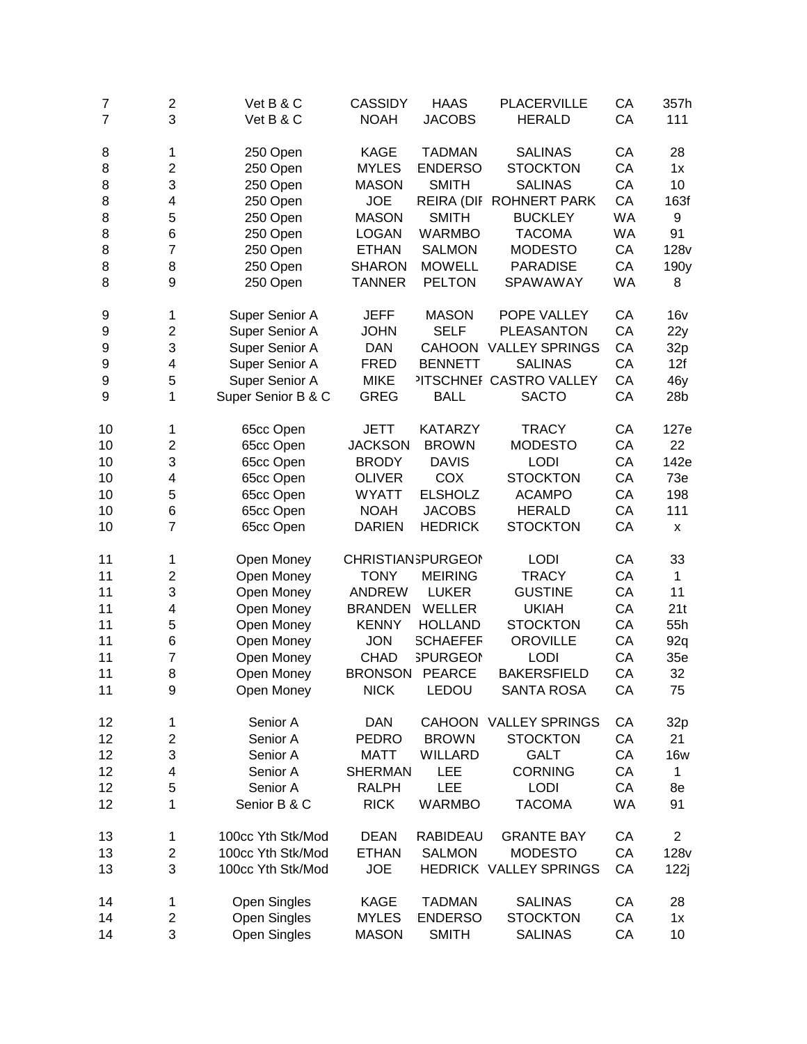| $\overline{7}$ | $\overline{\mathbf{c}}$ | Vet B & C           | <b>CASSIDY</b> | <b>HAAS</b>               | <b>PLACERVILLE</b>            | CA        | 357h             |
|----------------|-------------------------|---------------------|----------------|---------------------------|-------------------------------|-----------|------------------|
| $\overline{7}$ | 3                       | Vet B & C           | <b>NOAH</b>    | <b>JACOBS</b>             | <b>HERALD</b>                 | CA        | 111              |
| 8              | 1                       | 250 Open            | <b>KAGE</b>    | <b>TADMAN</b>             | <b>SALINAS</b>                | CA        | 28               |
| 8              | $\overline{\mathbf{c}}$ | 250 Open            | <b>MYLES</b>   | <b>ENDERSO</b>            | <b>STOCKTON</b>               | CA        | 1x               |
| 8              | 3                       | 250 Open            | <b>MASON</b>   | <b>SMITH</b>              | <b>SALINAS</b>                | CA        | 10               |
| 8              | 4                       | 250 Open            | <b>JOE</b>     | REIRA (DIF                | <b>ROHNERT PARK</b>           | CA        | 163f             |
| 8              | 5                       | 250 Open            | <b>MASON</b>   | <b>SMITH</b>              | <b>BUCKLEY</b>                | WA        | 9                |
| 8              | 6                       | 250 Open            | <b>LOGAN</b>   | <b>WARMBO</b>             | <b>TACOMA</b>                 | WA        | 91               |
| 8              | $\overline{7}$          | 250 Open            | <b>ETHAN</b>   | <b>SALMON</b>             | <b>MODESTO</b>                | CA        | 128v             |
| 8              | 8                       | 250 Open            | <b>SHARON</b>  | <b>MOWELL</b>             | <b>PARADISE</b>               | CA        | 190y             |
| 8              | 9                       | 250 Open            | <b>TANNER</b>  | <b>PELTON</b>             | SPAWAWAY                      | <b>WA</b> | 8                |
| 9              | 1                       | Super Senior A      | <b>JEFF</b>    | <b>MASON</b>              | POPE VALLEY                   | CA        | 16v              |
| 9              | $\overline{c}$          | Super Senior A      | <b>JOHN</b>    | <b>SELF</b>               | <b>PLEASANTON</b>             | CA        | 22y              |
| 9              | 3                       | Super Senior A      | <b>DAN</b>     | <b>CAHOON</b>             | <b>VALLEY SPRINGS</b>         | CA        | 32p              |
| 9              | 4                       | Super Senior A      | <b>FRED</b>    | <b>BENNETT</b>            | <b>SALINAS</b>                | CA        | 12f              |
| 9              | 5                       | Super Senior A      | <b>MIKE</b>    |                           | <b>ITSCHNEF CASTRO VALLEY</b> | CA        | 46y              |
| 9              | 1                       | Super Senior B & C  | <b>GREG</b>    | <b>BALL</b>               | <b>SACTO</b>                  | CA        | 28b              |
|                |                         |                     |                |                           |                               |           |                  |
| 10             | 1                       | 65cc Open           | <b>JETT</b>    | <b>KATARZY</b>            | <b>TRACY</b>                  | CA        | 127e             |
| 10             | $\overline{\mathbf{c}}$ | 65cc Open           | <b>JACKSON</b> | <b>BROWN</b>              | <b>MODESTO</b>                | CA        | 22               |
| 10             | 3                       | 65cc Open           | <b>BRODY</b>   | <b>DAVIS</b>              | <b>LODI</b>                   | CA        | 142e             |
| 10             | 4                       | 65cc Open           | <b>OLIVER</b>  | <b>COX</b>                | <b>STOCKTON</b>               | CA        | 73e              |
| 10             | 5                       | 65cc Open           | <b>WYATT</b>   | <b>ELSHOLZ</b>            | <b>ACAMPO</b>                 | CA        | 198              |
| 10             | 6                       | 65cc Open           | <b>NOAH</b>    | <b>JACOBS</b>             | <b>HERALD</b>                 | CA        | 111              |
| 10             | $\overline{7}$          | 65cc Open           | <b>DARIEN</b>  | <b>HEDRICK</b>            | <b>STOCKTON</b>               | CA        | x                |
| 11             | 1                       | Open Money          |                | <b>CHRISTIAN SPURGEON</b> | <b>LODI</b>                   | CA        | 33               |
| 11             | $\overline{\mathbf{c}}$ | Open Money          | <b>TONY</b>    | <b>MEIRING</b>            | <b>TRACY</b>                  | CA        | 1                |
| 11             | 3                       | Open Money          | <b>ANDREW</b>  | <b>LUKER</b>              | <b>GUSTINE</b>                | CA        | 11               |
| 11             | 4                       | Open Money          | <b>BRANDEN</b> | <b>WELLER</b>             | <b>UKIAH</b>                  | CA        | 21t              |
| 11             | 5                       | Open Money          | <b>KENNY</b>   | <b>HOLLAND</b>            | <b>STOCKTON</b>               | CA        | 55h              |
| 11             | 6                       | Open Money          | <b>JON</b>     | <b>SCHAEFER</b>           | <b>OROVILLE</b>               | CA        | 92q              |
| 11             | $\overline{7}$          | Open Money          | <b>CHAD</b>    | <b>SPURGEON</b>           | <b>LODI</b>                   | CA        | 35e              |
| 11             | 8                       | Open Money          | <b>BRONSON</b> | <b>PEARCE</b>             | <b>BAKERSFIELD</b>            | CA        | 32               |
| 11             | 9                       | Open Money          | <b>NICK</b>    | LEDOU                     | <b>SANTA ROSA</b>             | CA        | 75               |
| 12             | 1                       | Senior A            | <b>DAN</b>     |                           | CAHOON VALLEY SPRINGS         | CA        | 32p              |
| 12             | $\overline{\mathbf{c}}$ | Senior A            | <b>PEDRO</b>   | <b>BROWN</b>              | <b>STOCKTON</b>               | CA        | 21               |
| 12             | 3                       | Senior A            | <b>MATT</b>    | <b>WILLARD</b>            | <b>GALT</b>                   | CA        | <b>16w</b>       |
| 12             | 4                       | Senior A            | <b>SHERMAN</b> | LEE                       | <b>CORNING</b>                | CA        | 1                |
| 12             | 5                       | Senior A            | <b>RALPH</b>   | LEE                       | <b>LODI</b>                   | CA        | 8e               |
| 12             | 1                       | Senior B & C        | <b>RICK</b>    | <b>WARMBO</b>             | <b>TACOMA</b>                 | WA        | 91               |
| 13             | 1                       | 100cc Yth Stk/Mod   | <b>DEAN</b>    | RABIDEAU                  | <b>GRANTE BAY</b>             | CA        | $\overline{c}$   |
| 13             | $\overline{\mathbf{c}}$ | 100cc Yth Stk/Mod   | <b>ETHAN</b>   | <b>SALMON</b>             | <b>MODESTO</b>                | CA        | 128 <sub>v</sub> |
| 13             | 3                       | 100cc Yth Stk/Mod   | <b>JOE</b>     |                           | HEDRICK VALLEY SPRINGS        | CA        | 122j             |
| 14             | 1                       | <b>Open Singles</b> | <b>KAGE</b>    | <b>TADMAN</b>             | <b>SALINAS</b>                | CA        | 28               |
| 14             | $\overline{c}$          | Open Singles        | <b>MYLES</b>   | <b>ENDERSO</b>            | <b>STOCKTON</b>               | CA        | 1x               |
| 14             | 3                       | Open Singles        | <b>MASON</b>   | <b>SMITH</b>              | <b>SALINAS</b>                | CA        | 10               |
|                |                         |                     |                |                           |                               |           |                  |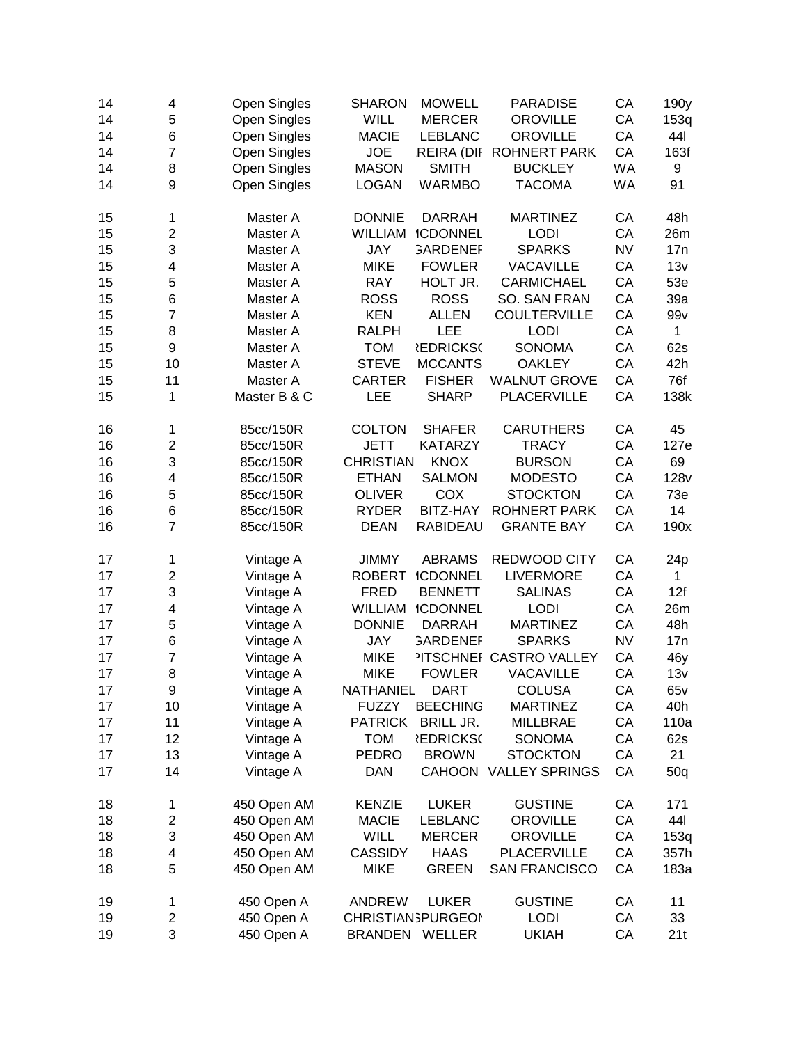| 14 | 4                       | <b>Open Singles</b> | <b>SHARON</b>    | <b>MOWELL</b>             | <b>PARADISE</b>               | CA        | 190y            |
|----|-------------------------|---------------------|------------------|---------------------------|-------------------------------|-----------|-----------------|
| 14 | 5                       | Open Singles        | <b>WILL</b>      | <b>MERCER</b>             | <b>OROVILLE</b>               | CA        | 153q            |
| 14 | 6                       | <b>Open Singles</b> | <b>MACIE</b>     | <b>LEBLANC</b>            | <b>OROVILLE</b>               | CA        | 441             |
| 14 | $\overline{7}$          | <b>Open Singles</b> | <b>JOE</b>       | <b>REIRA (DIF</b>         | <b>ROHNERT PARK</b>           | CA        | 163f            |
| 14 | 8                       | <b>Open Singles</b> | <b>MASON</b>     | <b>SMITH</b>              | <b>BUCKLEY</b>                | <b>WA</b> | 9               |
| 14 | 9                       | <b>Open Singles</b> | <b>LOGAN</b>     | <b>WARMBO</b>             | <b>TACOMA</b>                 | <b>WA</b> | 91              |
|    |                         |                     |                  |                           |                               |           |                 |
| 15 | 1                       | Master A            | <b>DONNIE</b>    | <b>DARRAH</b>             | <b>MARTINEZ</b>               | CA        | 48h             |
| 15 | $\overline{2}$          | Master A            | <b>WILLIAM</b>   | <b>ICDONNEL</b>           | <b>LODI</b>                   | CA        | 26m             |
| 15 | 3                       | Master A            | JAY              | <b>GARDENEF</b>           | <b>SPARKS</b>                 | <b>NV</b> | 17n             |
| 15 | 4                       | Master A            | <b>MIKE</b>      | <b>FOWLER</b>             | <b>VACAVILLE</b>              | CA        | 13v             |
| 15 | 5                       | Master A            | <b>RAY</b>       | HOLT JR.                  | <b>CARMICHAEL</b>             | CA        | 53e             |
| 15 | 6                       | Master A            | <b>ROSS</b>      | <b>ROSS</b>               | SO. SAN FRAN                  | CA        | 39a             |
| 15 | $\overline{7}$          | Master A            | <b>KEN</b>       | <b>ALLEN</b>              | <b>COULTERVILLE</b>           | CA        | 99v             |
| 15 | 8                       | Master A            | <b>RALPH</b>     | LEE                       | <b>LODI</b>                   | CA        | 1               |
| 15 | 9                       | Master A            | <b>TOM</b>       | <b><i>EDRICKS</i></b>     | <b>SONOMA</b>                 | CA        | 62s             |
| 15 | 10                      | Master A            | <b>STEVE</b>     | <b>MCCANTS</b>            | <b>OAKLEY</b>                 | CA        | 42h             |
| 15 | 11                      | Master A            | <b>CARTER</b>    | <b>FISHER</b>             | <b>WALNUT GROVE</b>           | CA        | 76f             |
| 15 | 1                       | Master B & C        | LEE              | <b>SHARP</b>              | <b>PLACERVILLE</b>            | CA        | 138k            |
|    |                         |                     |                  |                           |                               |           |                 |
| 16 | 1                       | 85cc/150R           | <b>COLTON</b>    | <b>SHAFER</b>             | <b>CARUTHERS</b>              | CA        | 45              |
| 16 | 2                       | 85cc/150R           | <b>JETT</b>      | <b>KATARZY</b>            | <b>TRACY</b>                  | CA        | 127e            |
| 16 | 3                       | 85cc/150R           | <b>CHRISTIAN</b> | <b>KNOX</b>               | <b>BURSON</b>                 | CA        | 69              |
| 16 | 4                       | 85cc/150R           | <b>ETHAN</b>     | <b>SALMON</b>             | <b>MODESTO</b>                | CA        | <b>128v</b>     |
| 16 | 5                       | 85cc/150R           | <b>OLIVER</b>    | COX                       | <b>STOCKTON</b>               | CA        | 73e             |
| 16 | 6                       | 85cc/150R           | <b>RYDER</b>     | BITZ-HAY                  | <b>ROHNERT PARK</b>           | CA        | 14              |
| 16 | 7                       | 85cc/150R           | <b>DEAN</b>      | <b>RABIDEAU</b>           | <b>GRANTE BAY</b>             | CA        | 190x            |
|    |                         |                     |                  |                           |                               |           |                 |
| 17 | 1                       | Vintage A           | <b>JIMMY</b>     | <b>ABRAMS</b>             | REDWOOD CITY                  | CA        | 24 <sub>p</sub> |
| 17 | $\overline{\mathbf{c}}$ | Vintage A           | <b>ROBERT</b>    | <b>ICDONNEL</b>           | <b>LIVERMORE</b>              | CA        | 1               |
| 17 | 3                       | Vintage A           | <b>FRED</b>      | <b>BENNETT</b>            | <b>SALINAS</b>                | CA        | 12f             |
| 17 | 4                       | Vintage A           | <b>WILLIAM</b>   | <b>ICDONNEL</b>           | <b>LODI</b>                   | CA        | 26m             |
| 17 | 5                       | Vintage A           | <b>DONNIE</b>    | <b>DARRAH</b>             | <b>MARTINEZ</b>               | CA        | 48h             |
| 17 | 6                       | Vintage A           | JAY              | <b>GARDENEF</b>           | <b>SPARKS</b>                 | <b>NV</b> | 17n             |
| 17 | $\overline{7}$          | Vintage A           | <b>MIKE</b>      |                           | <b>ITSCHNEF CASTRO VALLEY</b> | CA        | 46y             |
| 17 | 8                       | Vintage A           | <b>MIKE</b>      | <b>FOWLER</b>             | <b>VACAVILLE</b>              | CA        | 13v             |
| 17 | 9                       | Vintage A           | NATHANIEL        | <b>DART</b>               | <b>COLUSA</b>                 | СA        | 65v             |
| 17 | 10                      | Vintage A           | <b>FUZZY</b>     | <b>BEECHING</b>           | <b>MARTINEZ</b>               | CA        | 40h             |
| 17 | 11                      | Vintage A           | <b>PATRICK</b>   | <b>BRILL JR.</b>          | <b>MILLBRAE</b>               | CA        | 110a            |
| 17 | 12                      | Vintage A           | <b>TOM</b>       | <b><i>EDRICKS</i></b>     | <b>SONOMA</b>                 | CA        | 62s             |
| 17 | 13                      | Vintage A           | <b>PEDRO</b>     | <b>BROWN</b>              | <b>STOCKTON</b>               | CA        | 21              |
| 17 | 14                      | Vintage A           | <b>DAN</b>       |                           | CAHOON VALLEY SPRINGS         | CA        | 50q             |
|    |                         |                     |                  |                           |                               |           |                 |
| 18 | 1                       | 450 Open AM         | <b>KENZIE</b>    | <b>LUKER</b>              | <b>GUSTINE</b>                | CA        | 171             |
| 18 | $\overline{\mathbf{c}}$ | 450 Open AM         | <b>MACIE</b>     | <b>LEBLANC</b>            | <b>OROVILLE</b>               | CA        | 441             |
| 18 | 3                       | 450 Open AM         | WILL             | <b>MERCER</b>             | <b>OROVILLE</b>               | CA        | 153q            |
| 18 | 4                       | 450 Open AM         | <b>CASSIDY</b>   | <b>HAAS</b>               | <b>PLACERVILLE</b>            | CA        | 357h            |
| 18 | 5                       | 450 Open AM         | <b>MIKE</b>      | <b>GREEN</b>              | <b>SAN FRANCISCO</b>          | CA        | 183a            |
| 19 | 1                       | 450 Open A          | <b>ANDREW</b>    | <b>LUKER</b>              | <b>GUSTINE</b>                | CA        | 11              |
| 19 | $\overline{\mathbf{c}}$ | 450 Open A          |                  | <b>CHRISTIAN SPURGEON</b> | <b>LODI</b>                   | CA        | 33              |
| 19 | 3                       | 450 Open A          |                  | BRANDEN WELLER            | <b>UKIAH</b>                  | CA        | 21t             |